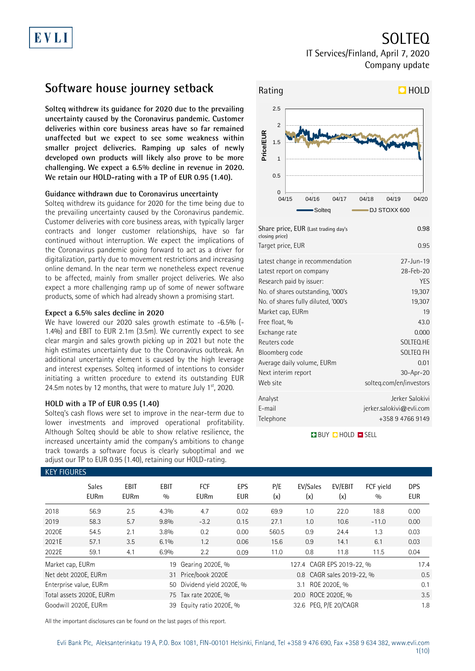SOLTEQ

IT Services/Finland, April 7, 2020 Company update

### **Software house journey setback**

**Solteq withdrew its guidance for 2020 due to the prevailing uncertainty caused by the Coronavirus pandemic. Customer deliveries within core business areas have so far remained unaffected but we expect to see some weakness within smaller project deliveries. Ramping up sales of newly developed own products will likely also prove to be more challenging. We expect a 6.5% decline in revenue in 2020. We retain our HOLD-rating with a TP of EUR 0.95 (1.40).**

### **Guidance withdrawn due to Coronavirus uncertainty**

Solteq withdrew its guidance for 2020 for the time being due to the prevailing uncertainty caused by the Coronavirus pandemic. Customer deliveries with core business areas, with typically larger contracts and longer customer relationships, have so far continued without interruption. We expect the implications of the Coronavirus pandemic going forward to act as a driver for digitalization, partly due to movement restrictions and increasing online demand. In the near term we nonetheless expect revenue to be affected, mainly from smaller project deliveries. We also expect a more challenging ramp up of some of newer software products, some of which had already shown a promising start.

### **Expect a 6.5% sales decline in 2020**

We have lowered our 2020 sales growth estimate to -6.5% (-1.4%) and EBIT to EUR 2.1m (3.5m). We currently expect to see clear margin and sales growth picking up in 2021 but note the high estimates uncertainty due to the Coronavirus outbreak. An additional uncertainty element is caused by the high leverage and interest expenses. Solteq informed of intentions to consider initiating a written procedure to extend its outstanding EUR 24.5m notes by 12 months, that were to mature July  $1<sup>st</sup>$ , 2020.

### **HOLD with a TP of EUR 0.95 (1.40)**

Solteq's cash flows were set to improve in the near-term due to lower investments and improved operational profitability. Although Solteq should be able to show relative resilience, the increased uncertainty amid the company's ambitions to change track towards a software focus is clearly suboptimal and we adjust our TP to EUR 0.95 (1.40), retaining our HOLD-rating.



| Share price, EUR (Last trading day's<br>closing price) | 0.98                        |
|--------------------------------------------------------|-----------------------------|
| Target price, EUR                                      | 0.95                        |
| Latest change in recommendation                        | $27 - Jun - 19$             |
| Latest report on company                               | 28-Feb-20                   |
| Research paid by issuer:                               | YES                         |
| No. of shares outstanding, '000's                      | 19,307                      |
| No. of shares fully diluted, '000's                    | 19,307                      |
| Market cap, EURm                                       | 19                          |
| Free float, %                                          | 43.0                        |
| Exchange rate                                          | 0.000                       |
| Reuters code                                           | SOLTEQ.HE                   |
| Bloomberg code                                         | SOLTEQ FH                   |
| Average daily volume, EURm                             | 0.01                        |
| Next interim report                                    | 30-Apr-20                   |
| Web site                                               | solteq.com/en/investors     |
| Analyst                                                | Jerker Salokivi             |
| E-mail                                                 | $j$ erker.salokivi@evli.com |
| Telephone                                              | +358 9 4766 9149            |

**BUY CHOLD EISELL** 

| <b>KEY FIGURES</b> |                             |                            |                    |                           |            |                           |                           |                |                  |                   |
|--------------------|-----------------------------|----------------------------|--------------------|---------------------------|------------|---------------------------|---------------------------|----------------|------------------|-------------------|
|                    | <b>Sales</b><br><b>EURm</b> | <b>EBIT</b><br><b>EURm</b> | <b>EBIT</b><br>0/0 | <b>FCF</b><br><b>EURm</b> | EPS<br>EUR | P/E<br>(x)                | EV/Sales<br>(x)           | EV/EBIT<br>(x) | FCF vield<br>0/0 | DPS<br><b>EUR</b> |
| 2018               | 56.9                        | 2.5                        | 4.3%               | 4.7                       | 0.02       | 69.9                      | 1.0                       | 22.0           | 18.8             | 0.00              |
| 2019               | 58.3                        | 5.7                        | 9.8%               | $-3.2$                    | 0.15       | 27.1                      | 1.0                       | 10.6           | $-11.0$          | 0.00              |
| 2020E              | 54.5                        | 2.1                        | 3.8%               | 0.2                       | 0.00       | 560.5                     | 0.9                       | 24.4           | 1.3              | 0.03              |
| 2021E              | 57.1                        | 3.5                        | 6.1%               | 1.2                       | 0.06       | 15.6                      | 0.9                       | 14.1           | 6.1              | 0.03              |
| 2022E              | 59.1                        | 4.1                        | 6.9%               | 2.2                       | 0.09       | 11.0                      | 0.8                       | 11.8           | 11.5             | 0.04              |
| Market cap, EURm   |                             |                            | 19                 | Gearing 2020E, %          |            |                           | 127.4 CAGR EPS 2019-22, % | 17.4           |                  |                   |
|                    | Net debt 2020E, EURm        |                            |                    | 31 Price/book 2020E       |            | 0.8 CAGR sales 2019-22, % |                           |                |                  | 0.5               |
|                    | Enterprise value, EURm      |                            | 50                 | Dividend yield 2020E, %   |            | ROE 2020E, %<br>3.1       |                           |                |                  | 0.1               |
|                    | Total assets 2020E, EURm    |                            |                    | 75 Tax rate 2020E, %      |            | 20.0 ROCE 2020E, %        |                           |                |                  | 3.5               |
|                    | Goodwill 2020E, EURm        |                            | 39                 | Equity ratio 2020E, %     |            |                           | 32.6 PEG, P/E 20/CAGR     |                |                  | 1.8               |

All the important disclosures can be found on the last pages of this report.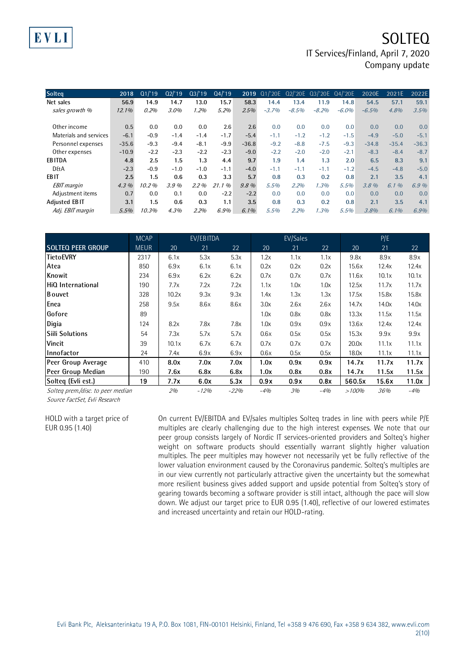| <b>Solteg</b>          | 2018     | Q1/19  | Q2/19  | 03/19  | Q4/19  |         | 2019 Q1/'20E | Q2/'20E | Q3/'20E Q4/'20E |          | 2020E   | 2021E   | 2022E   |
|------------------------|----------|--------|--------|--------|--------|---------|--------------|---------|-----------------|----------|---------|---------|---------|
| Net sales              | 56.9     | 14.9   | 14.7   | 13.0   | 15.7   | 58.3    | 14.4         | 13.4    | 11.9            | 14.8     | 54.5    | 57.1    | 59.1    |
| sales growth %         | $12.1\%$ | 0.2%   | 3.0%   | 1.2%   | 5.2%   | 2.5%    | $-3.7%$      | $-8.5%$ | $-8.2%$         | $-6.0\%$ | $-6.5%$ | 4.8%    | 3.5%    |
|                        |          |        |        |        |        |         |              |         |                 |          |         |         |         |
| Other income           | 0.5      | 0.0    | 0.0    | 0.0    | 2.6    | 2.6     | 0.0          | 0.0     | 0.0             | 0.0      | 0.0     | 0.0     | 0.0     |
| Materials and services | $-6.1$   | $-0.9$ | $-1.4$ | $-1.4$ | $-1.7$ | $-5.4$  | $-1.1$       | $-1.2$  | $-1.2$          | $-1.5$   | $-4.9$  | $-5.0$  | $-5.1$  |
| Personnel expenses     | $-35.6$  | $-9.3$ | $-9.4$ | $-8.1$ | $-9.9$ | $-36.8$ | $-9.2$       | $-8.8$  | $-7.5$          | $-9.3$   | $-34.8$ | $-35.4$ | $-36.3$ |
| Other expenses         | $-10.9$  | $-2.2$ | $-2.3$ | $-2.2$ | $-2.3$ | $-9.0$  | $-2.2$       | $-2.0$  | $-2.0$          | $-2.1$   | $-8.3$  | $-8.4$  | $-8.7$  |
| <b>EBITDA</b>          | 4.8      | 2.5    | 1.5    | 1.3    | 4.4    | 9.7     | 1.9          | 1.4     | 1.3             | 2.0      | 6.5     | 8.3     | 9.1     |
| <b>D&amp;A</b>         | $-2.3$   | $-0.9$ | $-1.0$ | $-1.0$ | $-1.1$ | $-4.0$  | $-1.1$       | $-1.1$  | $-1.1$          | $-1.2$   | $-4.5$  | $-4.8$  | $-5.0$  |
| <b>EBIT</b>            | 2.5      | 1.5    | 0.6    | 0.3    | 3.3    | 5.7     | 0.8          | 0.3     | 0.2             | 0.8      | 2.1     | 3.5     | 4.1     |
| <b>EBIT</b> margin     | $4.3\%$  | 10.2%  | 3.9%   | 2.2%   | 21.1%  | $9.8\%$ | 5.5%         | 2.2%    | 1.3%            | 5.5%     | 3.8%    | 6.1%    | 6.9%    |
| Adjustment items       | 0.7      | 0.0    | 0.1    | 0.0    | $-2.2$ | $-2.2$  | 0.0          | 0.0     | 0.0             | 0.0      | 0.0     | 0.0     | 0.0     |
| <b>Adjusted EBIT</b>   | 3.1      | 1.5    | 0.6    | 0.3    | 1.1    | 3.5     | 0.8          | 0.3     | 0.2             | 0.8      | 2.1     | 3.5     | 4.1     |
| Adj. EBIT margin       | 5.5%     | 10.3%  | 4.3%   | 2.2%   | 6.9%   | $6.1\%$ | 5.5%         | 2.2%    | 1.3%            | 5.5%     | 3.8%    | $6.1\%$ | 6.9%    |

|                                   | <b>MCAP</b> |       | EV/EBITDA |        |       | EV/Sales |       |        | P/E   |       |
|-----------------------------------|-------------|-------|-----------|--------|-------|----------|-------|--------|-------|-------|
| <b>SOLTEQ PEER GROUP</b>          | <b>MEUR</b> | 20    | 21        | 22     | 20    | 21       | 22    | 20     | 21    | 22    |
| <b>TietoEVRY</b>                  | 2317        | 6.1x  | 5.3x      | 5.3x   | 1.2x  | 1.1x     | 1.1x  | 9.8x   | 8.9x  | 8.9x  |
| Atea                              | 850         | 6.9x  | 6.1x      | 6.1x   | 0.2x  | 0.2x     | 0.2x  | 15.6x  | 12.4x | 12.4x |
| Knowit                            | 234         | 6.9x  | 6.2x      | 6.2x   | 0.7x  | 0.7x     | 0.7x  | 11.6x  | 10.1x | 10.1x |
| HiQ International                 | 190         | 7.7x  | 7.2x      | 7.2x   | 1.1x  | 1.0x     | 1.0x  | 12.5x  | 11.7x | 11.7x |
| <b>B</b> ouvet                    | 328         | 10.2x | 9.3x      | 9.3x   | 1.4x  | 1.3x     | 1.3x  | 17.5x  | 15.8x | 15.8x |
| Enea                              | 258         | 9.5x  | 8.6x      | 8.6x   | 3.0x  | 2.6x     | 2.6x  | 14.7x  | 14.0x | 14.0x |
| Gofore                            | 89          |       |           |        | 1.0x  | 0.8x     | 0.8x  | 13.3x  | 11.5x | 11.5x |
| Digia                             | 124         | 8.2x  | 7.8x      | 7.8x   | 1.0x  | 0.9x     | 0.9x  | 13.6x  | 12.4x | 12.4x |
| lSiili Solutions                  | 54          | 7.3x  | 5.7x      | 5.7x   | 0.6x  | 0.5x     | 0.5x  | 15.3x  | 9.9x  | 9.9x  |
| <b>Vincit</b>                     | 39          | 10.1x | 6.7x      | 6.7x   | 0.7x  | 0.7x     | 0.7x  | 20.0x  | 11.1x | 11.1x |
| lInnofactor                       | 24          | 7.4x  | 6.9x      | 6.9x   | 0.6x  | 0.5x     | 0.5x  | 18.0x  | 11.1x | 11.1x |
| Peer Group Average                | 410         | 8.0x  | 7.0x      | 7.0x   | 1.0x  | 0.9x     | 0.9x  | 14.7x  | 11.7x | 11.7x |
| Peer Group Median                 | 190         | 7.6x  | 6.8x      | 6.8x   | 1.0x  | 0.8x     | 0.8x  | 14.7x  | 11.5x | 11.5x |
| Solteg (Evli est.)                | 19          | 7.7x  | 6.0x      | 5.3x   | 0.9x  | 0.9x     | 0.8x  | 560.5x | 15.6x | 11.0x |
| Solteg prem./disc. to peer median |             | 2%    | $-12%$    | $-22%$ | $-4%$ | 3%       | $-4%$ | >100%  | 36%   | $-4%$ |

Source FactSet, Evli Research

EVL

HOLD with a target price of EUR 0.95 (1.40)

On current EV/EBITDA and EV/sales multiples Solteq trades in line with peers while P/E multiples are clearly challenging due to the high interest expenses. We note that our peer group consists largely of Nordic IT services-oriented providers and Solteq's higher weight on software products should essentially warrant slightly higher valuation multiples. The peer multiples may however not necessarily yet be fully reflective of the lower valuation environment caused by the Coronavirus pandemic. Solteq's multiples are in our view currently not particularly attractive given the uncertainty but the somewhat more resilient business gives added support and upside potential from Solteq's story of gearing towards becoming a software provider is still intact, although the pace will slow down. We adjust our target price to EUR 0.95 (1.40), reflective of our lowered estimates and increased uncertainty and retain our HOLD-rating.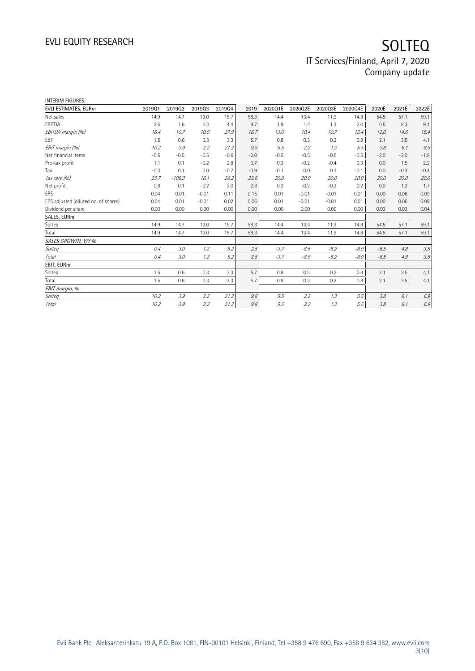| <b>INTERIM FIGURES</b>               |        |          |         |        |        |         |         |         |         |        |        |         |
|--------------------------------------|--------|----------|---------|--------|--------|---------|---------|---------|---------|--------|--------|---------|
| EVLI ESTIMATES, EURm                 | 201901 | 201902   | 201903  | 201904 | 2019   | 2020Q1E | 2020Q2E | 2020Q3E | 2020Q4E | 2020E  | 2021E  | 2022E   |
| Net sales                            | 14.9   | 14.7     | 13.0    | 15.7   | 58.3   | 14.4    | 13.4    | 11.9    | 14.8    | 54.5   | 57.1   | 59.1    |
| EBITDA                               | 2.5    | 1.6      | 1.3     | 4.4    | 9.7    | 1.9     | 1.4     | 1.3     | 2.0     | 6.5    | 8.3    | 9.1     |
| EBITDA margin (%)                    | 16.4   | 10.7     | 10.0    | 27.9   | 16.7   | 13.0    | 10.4    | 10.7    | 13.4    | 12.0   | 14.6   | 15.4    |
| EBIT                                 | 1.5    | 0.6      | 0.3     | 3.3    | 5.7    | 0.8     | 0.3     | 0.2     | 0.8     | 2.1    | 3.5    | 4.1     |
| EBIT margin (%)                      | 10.2   | 3.9      | 2.2     | 21.2   | 9.8    | 5.5     | 2.2     | 1.3     | 5.5     | 3.8    | 6.1    | 6.9     |
| Net financial items                  | $-0.5$ | $-0.5$   | $-0.5$  | $-0.6$ | $-2.0$ | $-0.5$  | $-0.5$  | $-0.5$  | $-0.5$  | $-2.0$ | $-2.0$ | $-1.9$  |
| Pre-tax profit                       | 1.1    | 0.1      | $-0.2$  | 2.8    | 3.7    | 0.3     | $-0.2$  | $-0.4$  | 0.3     | 0.0    | 1.5    | 2.2     |
| Tax                                  | $-0.3$ | 0.1      | 0.0     | $-0.7$ | $-0.9$ | $-0.1$  | 0.0     | 0.1     | $-0.1$  | 0.0    | $-0.3$ | $-0.4$  |
| Tax rate (%)                         | 23.7   | $-106.3$ | 16.1    | 26.2   | 23.8   | 20.0    | 20.0    | 20.0    | 20.0    | 20.0   | 20.0   | 20.0    |
| Net profit                           | 0.8    | 0.1      | $-0.2$  | 2.0    | 2.8    | 0.2     | $-0.2$  | $-0.3$  | 0.2     | 0.0    | 1.2    | 1.7     |
| EPS                                  | 0.04   | 0.01     | $-0.01$ | 0.11   | 0.15   | 0.01    | $-0.01$ | $-0.01$ | 0.01    | 0.00   | 0.06   | 0.09    |
| EPS adjusted (diluted no. of shares) | 0.04   | 0.01     | $-0.01$ | 0.02   | 0.06   | 0.01    | $-0.01$ | $-0.01$ | 0.01    | 0.00   | 0.06   | 0.09    |
| Dividend per share                   | 0.00   | 0.00     | 0.00    | 0.00   | 0.00   | 0.00    | 0.00    | 0.00    | 0.00    | 0.03   | 0.03   | 0.04    |
| SALES, EURm                          |        |          |         |        |        |         |         |         |         |        |        |         |
| Solteg                               | 14.9   | 14.7     | 13.0    | 15.7   | 58.3   | 14.4    | 13.4    | 11.9    | 14.8    | 54.5   | 57.1   | 59.1    |
| Total                                | 14.9   | 14.7     | 13.0    | 15.7   | 58.3   | 14.4    | 13.4    | 11.9    | 14.8    | 54.5   | 57.1   | 59.1    |
| SALES GROWTH, Y/Y %                  |        |          |         |        |        |         |         |         |         |        |        |         |
| Solteg                               | 0.4    | 3.0      | 1.2     | 5.2    | 2.5    | $-3.7$  | $-8.5$  | $-8.2$  | $-6.0$  | $-6.5$ | 4.8    | 3.5     |
| Total                                | 0.4    | 3.0      | 1.2     | 5.2    | 2.5    | $-3.7$  | $-8.5$  | $-8.2$  | $-6.0$  | $-6.5$ | 4.8    | 3.5     |
| EBIT, EURm                           |        |          |         |        |        |         |         |         |         |        |        |         |
| Solteq                               | 1.5    | 0.6      | 0.3     | 3.3    | 5.7    | 0.8     | 0.3     | 0.2     | 0.8     | 2.1    | 3.5    | 4.1     |
| Total                                | 1.5    | 0.6      | 0.3     | 3.3    | 5.7    | 0.8     | 0.3     | 0.2     | 0.8     | 2.1    | 3.5    | 4.1     |
| EBIT margin, %                       |        |          |         |        |        |         |         |         |         |        |        |         |
| Solteq                               | 10.2   | 3.9      | 2.2     | 21.2   | 9.8    | 5.5     | 2.2     | 1.3     | 5.5     | 3.8    | 6.1    | 6.9     |
| Total                                | 10.2   | 3.9      | 2.2     | 21.2   | 9.8    | 5.5     | 2.2     | 1.3     | 5.5     | 3.8    | 6.1    | $6.9\,$ |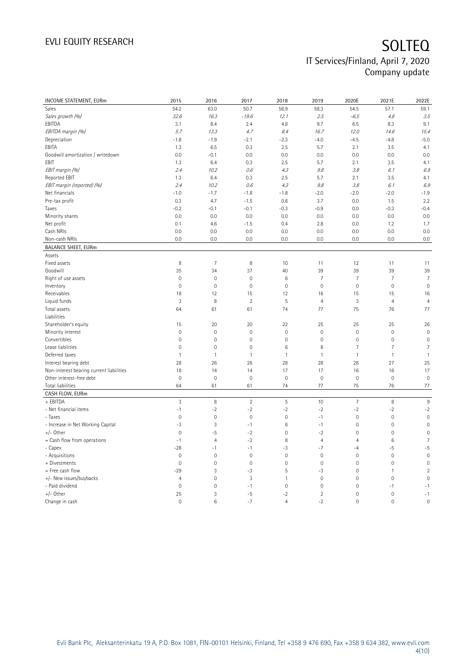| <b>INCOME STATEMENT, EURm</b>            | 2015           | 2016           | 2017                | 2018                | 2019           | 2020E               | 2021E           | 2022E               |
|------------------------------------------|----------------|----------------|---------------------|---------------------|----------------|---------------------|-----------------|---------------------|
| Sales                                    | 54.2           | 63.0           | 50.7                | 56.9                | 58.3           | 54.5                | 57.1            | 59.1                |
| Sales growth (%)                         | 32.6           | 16.3           | $-19.6$             | 12.1                | 2.5            | $-6.5$              | 4.8             | 3.5                 |
| EBITDA                                   | 3.1            | 8.4            | 2.4                 | 4.8                 | 9.7            | 6.5                 | 8.3             | 9.1                 |
| EBITDA margin (%)                        | 5.7            | 13.3           | 4.7                 | 8.4                 | 16.7           | 12.0                | 14.6            | 15.4                |
| Depreciation                             | $-1.8$         | $-1.9$         | $-2.1$              | $-2.3$              | $-4.0$         | $-4.5$              | $-4.8$          | $-5.0$              |
| EBITA                                    | 1.3            | 6.5            | 0.3                 | 2.5                 | 5.7            | 2.1                 | 3.5             | 4.1                 |
| Goodwill amortization / writedown        | 0.0            | $-0.1$         | 0.0                 | 0.0                 | 0.0            | 0.0                 | 0.0             | 0.0                 |
| EBIT                                     | 1.3            | 6.4            | 0.3                 | 2.5                 | 5.7            | 2.1                 | 3.5             | 4.1                 |
| EBIT margin (%)                          | 2.4            | 10.2           | 0.6                 | 4.3                 | 9.8            | 3.8                 | 6.1             | 6.9                 |
| Reported EBIT                            | 1.3            | 6.4            | 0.3                 | 2.5                 | 5.7            | 2.1                 | 3.5             | 4.1                 |
| EBIT margin (reported) (%)               | 2.4            | 10.2           | 0.6                 | 4.3                 | 9.8            | 3.8                 | 6.1             | 6.9                 |
| Net financials                           | $-1.0$         | $-1.7$         | $-1.8$              | $-1.8$              | $-2.0$         | $-2.0$              | $-2.0$          | $-1.9$              |
| Pre-tax profit                           | 0.3            | 4.7            | $-1.5$              | 0.6                 | 3.7            | 0.0                 | 1.5             | 2.2                 |
| Taxes                                    | $-0.2$         | $-0.1$         | $-0.1$              | $-0.3$              | $-0.9$         | 0.0                 | $-0.3$          | $-0.4$              |
| Minority shares                          | 0.0            | 0.0            | 0.0                 | 0.0                 | 0.0            | 0.0                 | 0.0             | 0.0                 |
| Net profit                               | 0.1            | 4.6            | $-1.5$              | 0.4                 | 2.8            | 0.0                 | 1.2             | 1.7                 |
| Cash NRIs                                | 0.0            | 0.0            | 0.0                 | 0.0                 | 0.0            | 0.0                 | 0.0             | 0.0                 |
| Non-cash NRIs                            | 0.0            | 0.0            | 0.0                 | 0.0                 | 0.0            | 0.0                 | 0.0             | 0.0                 |
| <b>BALANCE SHEET, EURm</b>               |                |                |                     |                     |                |                     |                 |                     |
| Assets                                   |                |                |                     |                     |                |                     |                 |                     |
| Fixed assets                             | 8              | $\overline{7}$ | 8                   | 10                  | 11             | 12                  | 11              | 11                  |
| Goodwill                                 | 35             | 34             | 37                  | 40                  | 39             | 39                  | 39              | 39                  |
| Right of use assets                      | $\mathbf 0$    | $\mathbf 0$    | $\mathsf{O}\xspace$ | $6\,$               | $\overline{7}$ | $\overline{7}$      | $\overline{7}$  | $\overline{7}$      |
| Inventory                                | $\mathbf{0}$   | $\mathbf 0$    | $\mathbf{0}$        | $\mathsf{O}\xspace$ | $\mathbf 0$    | $\mathsf{O}\xspace$ | $\mathbf 0$     | $\mathbf 0$         |
| Receivables                              | 18             | 12             | 15                  | 12                  | 16             | 15                  | 15              | 16                  |
| Liquid funds                             | 3              | 8              | $\overline{2}$      | 5                   | $\overline{4}$ | 3                   | $\overline{4}$  | $\overline{4}$      |
| Total assets                             | 64             | 61             | 61                  | 74                  | 77             | 75                  | 76              | 77                  |
| Liabilities                              |                |                |                     |                     |                |                     |                 |                     |
| Shareholder's equity                     | 15             | 20             | 20                  | 22                  | 25             | 25                  | 25              | 26                  |
| Minority interest                        | $\mathbf 0$    | $\mathbf 0$    | $\mathsf{O}\xspace$ | $\mathsf{O}\xspace$ | $\mathbf 0$    | $\mathbf 0$         | $\mathbf 0$     | $\mathbf 0$         |
| Convertibles                             | $\mathbf 0$    | $\mathbf 0$    | $\mathsf{O}\xspace$ | $\mathsf{O}\xspace$ | $\mathbf 0$    | 0                   | $\mathbf 0$     | $\mathsf{O}\xspace$ |
| Lease liabilities                        | $\mathbf{0}$   | $\mathbf 0$    | $\overline{0}$      | $6\,$               | 8              | 7                   | $\overline{7}$  | $\overline{7}$      |
| Deferred taxes                           | $\mathbf{1}$   | $\mathbf{1}$   | $\overline{1}$      | $\mathbf{1}$        | $\mathbf{1}$   | $\mathbf{1}$        | $\mathbf{1}$    | $\mathbf{1}$        |
| Interest bearing debt                    | 28             | 26             | 26                  | 28                  | 28             | 28                  | 27              | 25                  |
| Non-interest bearing current liabilities | 18             | 14             | 14                  | 17                  | 17             | 16                  | 16              | 17                  |
| Other interest-free debt                 | $\mathbf 0$    | $\mathbf 0$    | $\mathbf 0$         | $\mathbf 0$         | $\mathbf 0$    | $\mathsf{O}\xspace$ | $\mathbf 0$     | $\mathbf 0$         |
| Total liabilities                        | 64             | 61             | 61                  | 74                  | 77             | 75                  | 76              | 77                  |
| CASH FLOW, EURm                          |                |                |                     |                     |                |                     |                 |                     |
| + EBITDA                                 | $\mathbf{3}$   | 8              | $\overline{2}$      | $\sqrt{5}$          | 10             | $\overline{7}$      | 8               | $9\,$               |
| - Net financial items                    | $-1$           | $-2$           | $-2$                | $-2$                | $-2$           | $-2$                | $-2$            | $-2$                |
| - Taxes                                  | $\mathbf 0$    | $\mathbf 0$    | $\mathbf 0$         | $\mathsf{O}\xspace$ | $-1$           | 0                   | $\mathbf 0$     | $\mathbf 0$         |
| - Increase in Net Working Capital        | $-3$           | 3              | $-1$                | $6\,$               | $-1$           | $\mathsf{O}\xspace$ | $\mathbf 0$     | $\mathbf 0$         |
| +/- Other                                | $\mathbf 0$    | $-5$           | $-2$                | $\mathsf{O}\xspace$ | $-2$           | 0                   | $\mathbf 0$     | $\mathsf{O}\xspace$ |
| = Cash flow from operations              | $-1$           | $\overline{4}$ | $-2$                | 8                   | $\overline{4}$ | 4                   | $6\phantom{1}6$ | $\overline{7}$      |
| - Capex                                  | $-28$          | $-1$           | $-1$                | $-3$                | $-7$           | $-4$                | -5              | $-5$                |
| - Acquisitions                           | $\mathbf 0$    | 0              | $\mathbf 0$         | $\mathsf{O}\xspace$ | 0              | 0                   | $\mathbf 0$     | $\mathsf{O}\xspace$ |
| + Divestments                            | $\mathbf 0$    | $\mathbf 0$    | $\mathsf{O}\xspace$ | $\mathsf{O}\xspace$ | $\mathbf 0$    | $\mathbf 0$         | $\mathbf 0$     | $\mathbf 0$         |
| = Free cash flow                         | $-29$          | 3              | $-3$                | $\sqrt{5}$          | $-3$           | 0                   | $\mathbf{1}$    | $\sqrt{2}$          |
| +/- New issues/buybacks                  | $\overline{4}$ | $\overline{0}$ | 3                   | $\mathbf{1}$        | $\mathbf 0$    | $\mathbf 0$         | $\mathbf 0$     | $\mathbf 0$         |
| - Paid dividend                          | $\mathbf 0$    | $\mathbf 0$    | $-1$                | $\mathsf{O}\xspace$ | $\mathbf 0$    | $\mathsf{O}\xspace$ | $-1$            | $-1$                |
| +/- Other                                | 25             | 3              | -5                  | $-2$                | $\overline{2}$ | $\mathbf 0$         | $\mathbf 0$     | $-1$                |
| Change in cash                           | $\mathbf 0$    | 6              | $-7$                | $\overline{4}$      | $-2$           | $\Omega$            | $\overline{0}$  | $\overline{0}$      |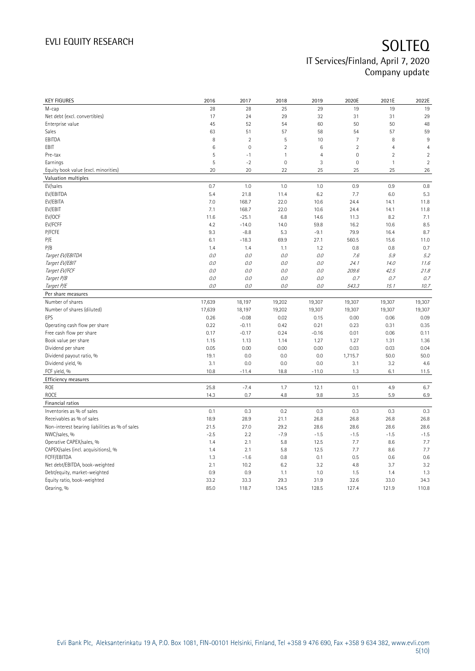| 28<br>28<br>25<br>29<br>19<br>19<br>19<br>17<br>29<br>32<br>29<br>24<br>31<br>31<br>45<br>52<br>54<br>60<br>50<br>50<br>48<br>59<br>63<br>51<br>57<br>58<br>54<br>57<br>8<br>$\overline{2}$<br>5<br>10<br>8<br>$9\,$<br>7<br>$\overline{2}$<br>$\mathbf 0$<br>6<br>$\overline{2}$<br>$\overline{4}$<br>$\overline{4}$<br>6<br>5<br>$\overline{4}$<br>$\mathbf 0$<br>$\overline{2}$<br>$\overline{2}$<br>$-1$<br>$\mathbf{1}$<br>$\overline{2}$<br>5<br>$-2$<br>$\mathsf{O}\xspace$<br>3<br>$\mathsf{O}\xspace$<br>$\mathbf{1}$<br>20<br>20<br>22<br>25<br>25<br>25<br>26<br>EV/sales<br>0.7<br>0.8<br>1.0<br>1.0<br>1.0<br>0.9<br>0.9<br>EV/EBITDA<br>5.4<br>5.3<br>21.8<br>11.4<br>6.2<br>7.7<br>6.0<br>EV/EBITA<br>7.0<br>168.7<br>22.0<br>10.6<br>24.4<br>11.8<br>14.1<br>EV/EBIT<br>7.1<br>168.7<br>22.0<br>10.6<br>24.4<br>14.1<br>11.8<br>EV/OCF<br>$-25.1$<br>6.8<br>14.6<br>7.1<br>11.6<br>11.3<br>8.2<br>EV/FCFF<br>8.5<br>4.2<br>$-14.0$<br>14.0<br>59.8<br>16.2<br>10.6<br>P/FCFE<br>8.7<br>9.3<br>$-8.8$<br>5.3<br>$-9.1$<br>79.9<br>16.4<br>P/E<br>6.1<br>$-18.3$<br>69.9<br>27.1<br>560.5<br>15.6<br>11.0<br>P/B<br>1.4<br>1.2<br>0.8<br>0.8<br>0.7<br>1.4<br>1.1<br>Target EV/EBITDA<br>0.0<br>5.2<br>0.0<br>0.0<br>0.0<br>7.6<br>5.9<br>Target EV/EBIT<br>$O.O$<br>0.0<br>0.0<br>$O.O$<br>24.1<br>14.0<br>11.6<br>Target EV/FCF<br>0.0<br>0.0<br>0.0<br>0.0<br>209.6<br>42.5<br>21.8<br>Target P/B<br>0.0<br>0.0<br>0.0<br>0.7<br>0.0<br>0.7<br>0.7<br>Target P/E<br>10.7<br>0.0<br>0.0<br>0.0<br>0.0<br>543.3<br>15.1<br>Per share measures<br>Number of shares<br>17,639<br>19,202<br>18,197<br>19,307<br>19,307<br>19,307<br>19,307<br>Number of shares (diluted)<br>19,307<br>17,639<br>18,197<br>19,202<br>19,307<br>19,307<br>19,307<br>0.26<br>$-0.08$<br>0.02<br>0.15<br>0.00<br>0.06<br>0.09<br>EPS<br>0.35<br>Operating cash flow per share<br>0.22<br>$-0.11$<br>0.42<br>0.21<br>0.23<br>0.31<br>Free cash flow per share<br>0.17<br>$-0.17$<br>0.24<br>$-0.16$<br>0.01<br>0.06<br>0.11<br>Book value per share<br>1.15<br>1.13<br>1.14<br>1.27<br>1.27<br>1.31<br>1.36<br>Dividend per share<br>0.05<br>0.00<br>0.00<br>0.00<br>0.03<br>0.03<br>0.04<br>0.0<br>50.0<br>50.0<br>Dividend payout ratio, %<br>19.1<br>0.0<br>0.0<br>1,715.7<br>Dividend yield, %<br>3.1<br>0.0<br>0.0<br>0.0<br>3.1<br>3.2<br>4.6<br>FCF yield, %<br>10.8<br>$-11.4$<br>18.8<br>$-11.0$<br>1.3<br>6.1<br>11.5<br>Efficiency measures<br>25.8<br>$-7.4$<br>1.7<br>4.9<br>ROE<br>12.1<br>0.1<br>6.7<br><b>ROCE</b><br>14.3<br>0.7<br>4.8<br>9.8<br>3.5<br>5.9<br>6.9<br>Financial ratios<br>Inventories as % of sales<br>0.1<br>0.3<br>0.2<br>0.3<br>0.3<br>0.3<br>0.3<br>Receivables as % of sales<br>18.9<br>28.9<br>21.1<br>26.8<br>26.8<br>26.8<br>26.8 | <b>KEY FIGURES</b>                             | 2016 | 2017  | 2018  | 2019  | 2020E | 2021E | 2022E |
|--------------------------------------------------------------------------------------------------------------------------------------------------------------------------------------------------------------------------------------------------------------------------------------------------------------------------------------------------------------------------------------------------------------------------------------------------------------------------------------------------------------------------------------------------------------------------------------------------------------------------------------------------------------------------------------------------------------------------------------------------------------------------------------------------------------------------------------------------------------------------------------------------------------------------------------------------------------------------------------------------------------------------------------------------------------------------------------------------------------------------------------------------------------------------------------------------------------------------------------------------------------------------------------------------------------------------------------------------------------------------------------------------------------------------------------------------------------------------------------------------------------------------------------------------------------------------------------------------------------------------------------------------------------------------------------------------------------------------------------------------------------------------------------------------------------------------------------------------------------------------------------------------------------------------------------------------------------------------------------------------------------------------------------------------------------------------------------------------------------------------------------------------------------------------------------------------------------------------------------------------------------------------------------------------------------------------------------------------------------------------------------------------------------------------------------------------------------------------------------------------------------------------------------------------------------------------------------------------------------------------------------------------------------------------------------------------------------------------------------------------------------------|------------------------------------------------|------|-------|-------|-------|-------|-------|-------|
|                                                                                                                                                                                                                                                                                                                                                                                                                                                                                                                                                                                                                                                                                                                                                                                                                                                                                                                                                                                                                                                                                                                                                                                                                                                                                                                                                                                                                                                                                                                                                                                                                                                                                                                                                                                                                                                                                                                                                                                                                                                                                                                                                                                                                                                                                                                                                                                                                                                                                                                                                                                                                                                                                                                                                                    | M-cap                                          |      |       |       |       |       |       |       |
|                                                                                                                                                                                                                                                                                                                                                                                                                                                                                                                                                                                                                                                                                                                                                                                                                                                                                                                                                                                                                                                                                                                                                                                                                                                                                                                                                                                                                                                                                                                                                                                                                                                                                                                                                                                                                                                                                                                                                                                                                                                                                                                                                                                                                                                                                                                                                                                                                                                                                                                                                                                                                                                                                                                                                                    | Net debt (excl. convertibles)                  |      |       |       |       |       |       |       |
|                                                                                                                                                                                                                                                                                                                                                                                                                                                                                                                                                                                                                                                                                                                                                                                                                                                                                                                                                                                                                                                                                                                                                                                                                                                                                                                                                                                                                                                                                                                                                                                                                                                                                                                                                                                                                                                                                                                                                                                                                                                                                                                                                                                                                                                                                                                                                                                                                                                                                                                                                                                                                                                                                                                                                                    | Enterprise value                               |      |       |       |       |       |       |       |
|                                                                                                                                                                                                                                                                                                                                                                                                                                                                                                                                                                                                                                                                                                                                                                                                                                                                                                                                                                                                                                                                                                                                                                                                                                                                                                                                                                                                                                                                                                                                                                                                                                                                                                                                                                                                                                                                                                                                                                                                                                                                                                                                                                                                                                                                                                                                                                                                                                                                                                                                                                                                                                                                                                                                                                    | Sales                                          |      |       |       |       |       |       |       |
|                                                                                                                                                                                                                                                                                                                                                                                                                                                                                                                                                                                                                                                                                                                                                                                                                                                                                                                                                                                                                                                                                                                                                                                                                                                                                                                                                                                                                                                                                                                                                                                                                                                                                                                                                                                                                                                                                                                                                                                                                                                                                                                                                                                                                                                                                                                                                                                                                                                                                                                                                                                                                                                                                                                                                                    | EBITDA                                         |      |       |       |       |       |       |       |
|                                                                                                                                                                                                                                                                                                                                                                                                                                                                                                                                                                                                                                                                                                                                                                                                                                                                                                                                                                                                                                                                                                                                                                                                                                                                                                                                                                                                                                                                                                                                                                                                                                                                                                                                                                                                                                                                                                                                                                                                                                                                                                                                                                                                                                                                                                                                                                                                                                                                                                                                                                                                                                                                                                                                                                    | EBIT                                           |      |       |       |       |       |       |       |
|                                                                                                                                                                                                                                                                                                                                                                                                                                                                                                                                                                                                                                                                                                                                                                                                                                                                                                                                                                                                                                                                                                                                                                                                                                                                                                                                                                                                                                                                                                                                                                                                                                                                                                                                                                                                                                                                                                                                                                                                                                                                                                                                                                                                                                                                                                                                                                                                                                                                                                                                                                                                                                                                                                                                                                    | Pre-tax                                        |      |       |       |       |       |       |       |
|                                                                                                                                                                                                                                                                                                                                                                                                                                                                                                                                                                                                                                                                                                                                                                                                                                                                                                                                                                                                                                                                                                                                                                                                                                                                                                                                                                                                                                                                                                                                                                                                                                                                                                                                                                                                                                                                                                                                                                                                                                                                                                                                                                                                                                                                                                                                                                                                                                                                                                                                                                                                                                                                                                                                                                    | Earnings                                       |      |       |       |       |       |       |       |
|                                                                                                                                                                                                                                                                                                                                                                                                                                                                                                                                                                                                                                                                                                                                                                                                                                                                                                                                                                                                                                                                                                                                                                                                                                                                                                                                                                                                                                                                                                                                                                                                                                                                                                                                                                                                                                                                                                                                                                                                                                                                                                                                                                                                                                                                                                                                                                                                                                                                                                                                                                                                                                                                                                                                                                    | Equity book value (excl. minorities)           |      |       |       |       |       |       |       |
|                                                                                                                                                                                                                                                                                                                                                                                                                                                                                                                                                                                                                                                                                                                                                                                                                                                                                                                                                                                                                                                                                                                                                                                                                                                                                                                                                                                                                                                                                                                                                                                                                                                                                                                                                                                                                                                                                                                                                                                                                                                                                                                                                                                                                                                                                                                                                                                                                                                                                                                                                                                                                                                                                                                                                                    | Valuation multiples                            |      |       |       |       |       |       |       |
|                                                                                                                                                                                                                                                                                                                                                                                                                                                                                                                                                                                                                                                                                                                                                                                                                                                                                                                                                                                                                                                                                                                                                                                                                                                                                                                                                                                                                                                                                                                                                                                                                                                                                                                                                                                                                                                                                                                                                                                                                                                                                                                                                                                                                                                                                                                                                                                                                                                                                                                                                                                                                                                                                                                                                                    |                                                |      |       |       |       |       |       |       |
|                                                                                                                                                                                                                                                                                                                                                                                                                                                                                                                                                                                                                                                                                                                                                                                                                                                                                                                                                                                                                                                                                                                                                                                                                                                                                                                                                                                                                                                                                                                                                                                                                                                                                                                                                                                                                                                                                                                                                                                                                                                                                                                                                                                                                                                                                                                                                                                                                                                                                                                                                                                                                                                                                                                                                                    |                                                |      |       |       |       |       |       |       |
|                                                                                                                                                                                                                                                                                                                                                                                                                                                                                                                                                                                                                                                                                                                                                                                                                                                                                                                                                                                                                                                                                                                                                                                                                                                                                                                                                                                                                                                                                                                                                                                                                                                                                                                                                                                                                                                                                                                                                                                                                                                                                                                                                                                                                                                                                                                                                                                                                                                                                                                                                                                                                                                                                                                                                                    |                                                |      |       |       |       |       |       |       |
|                                                                                                                                                                                                                                                                                                                                                                                                                                                                                                                                                                                                                                                                                                                                                                                                                                                                                                                                                                                                                                                                                                                                                                                                                                                                                                                                                                                                                                                                                                                                                                                                                                                                                                                                                                                                                                                                                                                                                                                                                                                                                                                                                                                                                                                                                                                                                                                                                                                                                                                                                                                                                                                                                                                                                                    |                                                |      |       |       |       |       |       |       |
|                                                                                                                                                                                                                                                                                                                                                                                                                                                                                                                                                                                                                                                                                                                                                                                                                                                                                                                                                                                                                                                                                                                                                                                                                                                                                                                                                                                                                                                                                                                                                                                                                                                                                                                                                                                                                                                                                                                                                                                                                                                                                                                                                                                                                                                                                                                                                                                                                                                                                                                                                                                                                                                                                                                                                                    |                                                |      |       |       |       |       |       |       |
|                                                                                                                                                                                                                                                                                                                                                                                                                                                                                                                                                                                                                                                                                                                                                                                                                                                                                                                                                                                                                                                                                                                                                                                                                                                                                                                                                                                                                                                                                                                                                                                                                                                                                                                                                                                                                                                                                                                                                                                                                                                                                                                                                                                                                                                                                                                                                                                                                                                                                                                                                                                                                                                                                                                                                                    |                                                |      |       |       |       |       |       |       |
|                                                                                                                                                                                                                                                                                                                                                                                                                                                                                                                                                                                                                                                                                                                                                                                                                                                                                                                                                                                                                                                                                                                                                                                                                                                                                                                                                                                                                                                                                                                                                                                                                                                                                                                                                                                                                                                                                                                                                                                                                                                                                                                                                                                                                                                                                                                                                                                                                                                                                                                                                                                                                                                                                                                                                                    |                                                |      |       |       |       |       |       |       |
|                                                                                                                                                                                                                                                                                                                                                                                                                                                                                                                                                                                                                                                                                                                                                                                                                                                                                                                                                                                                                                                                                                                                                                                                                                                                                                                                                                                                                                                                                                                                                                                                                                                                                                                                                                                                                                                                                                                                                                                                                                                                                                                                                                                                                                                                                                                                                                                                                                                                                                                                                                                                                                                                                                                                                                    |                                                |      |       |       |       |       |       |       |
|                                                                                                                                                                                                                                                                                                                                                                                                                                                                                                                                                                                                                                                                                                                                                                                                                                                                                                                                                                                                                                                                                                                                                                                                                                                                                                                                                                                                                                                                                                                                                                                                                                                                                                                                                                                                                                                                                                                                                                                                                                                                                                                                                                                                                                                                                                                                                                                                                                                                                                                                                                                                                                                                                                                                                                    |                                                |      |       |       |       |       |       |       |
|                                                                                                                                                                                                                                                                                                                                                                                                                                                                                                                                                                                                                                                                                                                                                                                                                                                                                                                                                                                                                                                                                                                                                                                                                                                                                                                                                                                                                                                                                                                                                                                                                                                                                                                                                                                                                                                                                                                                                                                                                                                                                                                                                                                                                                                                                                                                                                                                                                                                                                                                                                                                                                                                                                                                                                    |                                                |      |       |       |       |       |       |       |
|                                                                                                                                                                                                                                                                                                                                                                                                                                                                                                                                                                                                                                                                                                                                                                                                                                                                                                                                                                                                                                                                                                                                                                                                                                                                                                                                                                                                                                                                                                                                                                                                                                                                                                                                                                                                                                                                                                                                                                                                                                                                                                                                                                                                                                                                                                                                                                                                                                                                                                                                                                                                                                                                                                                                                                    |                                                |      |       |       |       |       |       |       |
|                                                                                                                                                                                                                                                                                                                                                                                                                                                                                                                                                                                                                                                                                                                                                                                                                                                                                                                                                                                                                                                                                                                                                                                                                                                                                                                                                                                                                                                                                                                                                                                                                                                                                                                                                                                                                                                                                                                                                                                                                                                                                                                                                                                                                                                                                                                                                                                                                                                                                                                                                                                                                                                                                                                                                                    |                                                |      |       |       |       |       |       |       |
|                                                                                                                                                                                                                                                                                                                                                                                                                                                                                                                                                                                                                                                                                                                                                                                                                                                                                                                                                                                                                                                                                                                                                                                                                                                                                                                                                                                                                                                                                                                                                                                                                                                                                                                                                                                                                                                                                                                                                                                                                                                                                                                                                                                                                                                                                                                                                                                                                                                                                                                                                                                                                                                                                                                                                                    |                                                |      |       |       |       |       |       |       |
|                                                                                                                                                                                                                                                                                                                                                                                                                                                                                                                                                                                                                                                                                                                                                                                                                                                                                                                                                                                                                                                                                                                                                                                                                                                                                                                                                                                                                                                                                                                                                                                                                                                                                                                                                                                                                                                                                                                                                                                                                                                                                                                                                                                                                                                                                                                                                                                                                                                                                                                                                                                                                                                                                                                                                                    |                                                |      |       |       |       |       |       |       |
|                                                                                                                                                                                                                                                                                                                                                                                                                                                                                                                                                                                                                                                                                                                                                                                                                                                                                                                                                                                                                                                                                                                                                                                                                                                                                                                                                                                                                                                                                                                                                                                                                                                                                                                                                                                                                                                                                                                                                                                                                                                                                                                                                                                                                                                                                                                                                                                                                                                                                                                                                                                                                                                                                                                                                                    |                                                |      |       |       |       |       |       |       |
|                                                                                                                                                                                                                                                                                                                                                                                                                                                                                                                                                                                                                                                                                                                                                                                                                                                                                                                                                                                                                                                                                                                                                                                                                                                                                                                                                                                                                                                                                                                                                                                                                                                                                                                                                                                                                                                                                                                                                                                                                                                                                                                                                                                                                                                                                                                                                                                                                                                                                                                                                                                                                                                                                                                                                                    |                                                |      |       |       |       |       |       |       |
|                                                                                                                                                                                                                                                                                                                                                                                                                                                                                                                                                                                                                                                                                                                                                                                                                                                                                                                                                                                                                                                                                                                                                                                                                                                                                                                                                                                                                                                                                                                                                                                                                                                                                                                                                                                                                                                                                                                                                                                                                                                                                                                                                                                                                                                                                                                                                                                                                                                                                                                                                                                                                                                                                                                                                                    |                                                |      |       |       |       |       |       |       |
|                                                                                                                                                                                                                                                                                                                                                                                                                                                                                                                                                                                                                                                                                                                                                                                                                                                                                                                                                                                                                                                                                                                                                                                                                                                                                                                                                                                                                                                                                                                                                                                                                                                                                                                                                                                                                                                                                                                                                                                                                                                                                                                                                                                                                                                                                                                                                                                                                                                                                                                                                                                                                                                                                                                                                                    |                                                |      |       |       |       |       |       |       |
|                                                                                                                                                                                                                                                                                                                                                                                                                                                                                                                                                                                                                                                                                                                                                                                                                                                                                                                                                                                                                                                                                                                                                                                                                                                                                                                                                                                                                                                                                                                                                                                                                                                                                                                                                                                                                                                                                                                                                                                                                                                                                                                                                                                                                                                                                                                                                                                                                                                                                                                                                                                                                                                                                                                                                                    |                                                |      |       |       |       |       |       |       |
|                                                                                                                                                                                                                                                                                                                                                                                                                                                                                                                                                                                                                                                                                                                                                                                                                                                                                                                                                                                                                                                                                                                                                                                                                                                                                                                                                                                                                                                                                                                                                                                                                                                                                                                                                                                                                                                                                                                                                                                                                                                                                                                                                                                                                                                                                                                                                                                                                                                                                                                                                                                                                                                                                                                                                                    |                                                |      |       |       |       |       |       |       |
|                                                                                                                                                                                                                                                                                                                                                                                                                                                                                                                                                                                                                                                                                                                                                                                                                                                                                                                                                                                                                                                                                                                                                                                                                                                                                                                                                                                                                                                                                                                                                                                                                                                                                                                                                                                                                                                                                                                                                                                                                                                                                                                                                                                                                                                                                                                                                                                                                                                                                                                                                                                                                                                                                                                                                                    |                                                |      |       |       |       |       |       |       |
|                                                                                                                                                                                                                                                                                                                                                                                                                                                                                                                                                                                                                                                                                                                                                                                                                                                                                                                                                                                                                                                                                                                                                                                                                                                                                                                                                                                                                                                                                                                                                                                                                                                                                                                                                                                                                                                                                                                                                                                                                                                                                                                                                                                                                                                                                                                                                                                                                                                                                                                                                                                                                                                                                                                                                                    |                                                |      |       |       |       |       |       |       |
|                                                                                                                                                                                                                                                                                                                                                                                                                                                                                                                                                                                                                                                                                                                                                                                                                                                                                                                                                                                                                                                                                                                                                                                                                                                                                                                                                                                                                                                                                                                                                                                                                                                                                                                                                                                                                                                                                                                                                                                                                                                                                                                                                                                                                                                                                                                                                                                                                                                                                                                                                                                                                                                                                                                                                                    |                                                |      |       |       |       |       |       |       |
|                                                                                                                                                                                                                                                                                                                                                                                                                                                                                                                                                                                                                                                                                                                                                                                                                                                                                                                                                                                                                                                                                                                                                                                                                                                                                                                                                                                                                                                                                                                                                                                                                                                                                                                                                                                                                                                                                                                                                                                                                                                                                                                                                                                                                                                                                                                                                                                                                                                                                                                                                                                                                                                                                                                                                                    |                                                |      |       |       |       |       |       |       |
|                                                                                                                                                                                                                                                                                                                                                                                                                                                                                                                                                                                                                                                                                                                                                                                                                                                                                                                                                                                                                                                                                                                                                                                                                                                                                                                                                                                                                                                                                                                                                                                                                                                                                                                                                                                                                                                                                                                                                                                                                                                                                                                                                                                                                                                                                                                                                                                                                                                                                                                                                                                                                                                                                                                                                                    |                                                |      |       |       |       |       |       |       |
|                                                                                                                                                                                                                                                                                                                                                                                                                                                                                                                                                                                                                                                                                                                                                                                                                                                                                                                                                                                                                                                                                                                                                                                                                                                                                                                                                                                                                                                                                                                                                                                                                                                                                                                                                                                                                                                                                                                                                                                                                                                                                                                                                                                                                                                                                                                                                                                                                                                                                                                                                                                                                                                                                                                                                                    |                                                |      |       |       |       |       |       |       |
|                                                                                                                                                                                                                                                                                                                                                                                                                                                                                                                                                                                                                                                                                                                                                                                                                                                                                                                                                                                                                                                                                                                                                                                                                                                                                                                                                                                                                                                                                                                                                                                                                                                                                                                                                                                                                                                                                                                                                                                                                                                                                                                                                                                                                                                                                                                                                                                                                                                                                                                                                                                                                                                                                                                                                                    |                                                |      |       |       |       |       |       |       |
|                                                                                                                                                                                                                                                                                                                                                                                                                                                                                                                                                                                                                                                                                                                                                                                                                                                                                                                                                                                                                                                                                                                                                                                                                                                                                                                                                                                                                                                                                                                                                                                                                                                                                                                                                                                                                                                                                                                                                                                                                                                                                                                                                                                                                                                                                                                                                                                                                                                                                                                                                                                                                                                                                                                                                                    |                                                |      |       |       |       |       |       |       |
|                                                                                                                                                                                                                                                                                                                                                                                                                                                                                                                                                                                                                                                                                                                                                                                                                                                                                                                                                                                                                                                                                                                                                                                                                                                                                                                                                                                                                                                                                                                                                                                                                                                                                                                                                                                                                                                                                                                                                                                                                                                                                                                                                                                                                                                                                                                                                                                                                                                                                                                                                                                                                                                                                                                                                                    |                                                |      |       |       |       |       |       |       |
|                                                                                                                                                                                                                                                                                                                                                                                                                                                                                                                                                                                                                                                                                                                                                                                                                                                                                                                                                                                                                                                                                                                                                                                                                                                                                                                                                                                                                                                                                                                                                                                                                                                                                                                                                                                                                                                                                                                                                                                                                                                                                                                                                                                                                                                                                                                                                                                                                                                                                                                                                                                                                                                                                                                                                                    |                                                |      |       |       |       |       |       |       |
|                                                                                                                                                                                                                                                                                                                                                                                                                                                                                                                                                                                                                                                                                                                                                                                                                                                                                                                                                                                                                                                                                                                                                                                                                                                                                                                                                                                                                                                                                                                                                                                                                                                                                                                                                                                                                                                                                                                                                                                                                                                                                                                                                                                                                                                                                                                                                                                                                                                                                                                                                                                                                                                                                                                                                                    |                                                |      |       |       |       |       |       |       |
|                                                                                                                                                                                                                                                                                                                                                                                                                                                                                                                                                                                                                                                                                                                                                                                                                                                                                                                                                                                                                                                                                                                                                                                                                                                                                                                                                                                                                                                                                                                                                                                                                                                                                                                                                                                                                                                                                                                                                                                                                                                                                                                                                                                                                                                                                                                                                                                                                                                                                                                                                                                                                                                                                                                                                                    |                                                |      |       |       |       |       |       |       |
|                                                                                                                                                                                                                                                                                                                                                                                                                                                                                                                                                                                                                                                                                                                                                                                                                                                                                                                                                                                                                                                                                                                                                                                                                                                                                                                                                                                                                                                                                                                                                                                                                                                                                                                                                                                                                                                                                                                                                                                                                                                                                                                                                                                                                                                                                                                                                                                                                                                                                                                                                                                                                                                                                                                                                                    | Non-interest bearing liabilities as % of sales | 21.5 | 27.0  | 29.2  | 28.6  | 28.6  | 28.6  | 28.6  |
| $-2.5$<br>2.2<br>$-7.9$<br>$-1.5$<br>$-1.5$<br>$-1.5$<br>$-1.5$                                                                                                                                                                                                                                                                                                                                                                                                                                                                                                                                                                                                                                                                                                                                                                                                                                                                                                                                                                                                                                                                                                                                                                                                                                                                                                                                                                                                                                                                                                                                                                                                                                                                                                                                                                                                                                                                                                                                                                                                                                                                                                                                                                                                                                                                                                                                                                                                                                                                                                                                                                                                                                                                                                    | NWC/sales, %                                   |      |       |       |       |       |       |       |
| 2.1<br>5.8<br>12.5<br>7.7<br>8.6<br>7.7<br>1.4                                                                                                                                                                                                                                                                                                                                                                                                                                                                                                                                                                                                                                                                                                                                                                                                                                                                                                                                                                                                                                                                                                                                                                                                                                                                                                                                                                                                                                                                                                                                                                                                                                                                                                                                                                                                                                                                                                                                                                                                                                                                                                                                                                                                                                                                                                                                                                                                                                                                                                                                                                                                                                                                                                                     | Operative CAPEX/sales, %                       |      |       |       |       |       |       |       |
| 2.1<br>7.7<br>7.7<br>1.4<br>5.8<br>12.5<br>8.6                                                                                                                                                                                                                                                                                                                                                                                                                                                                                                                                                                                                                                                                                                                                                                                                                                                                                                                                                                                                                                                                                                                                                                                                                                                                                                                                                                                                                                                                                                                                                                                                                                                                                                                                                                                                                                                                                                                                                                                                                                                                                                                                                                                                                                                                                                                                                                                                                                                                                                                                                                                                                                                                                                                     | CAPEX/sales (incl. acquisitions), %            |      |       |       |       |       |       |       |
| 0.6<br>1.3<br>$-1.6$<br>0.8<br>0.1<br>0.5<br>0.6                                                                                                                                                                                                                                                                                                                                                                                                                                                                                                                                                                                                                                                                                                                                                                                                                                                                                                                                                                                                                                                                                                                                                                                                                                                                                                                                                                                                                                                                                                                                                                                                                                                                                                                                                                                                                                                                                                                                                                                                                                                                                                                                                                                                                                                                                                                                                                                                                                                                                                                                                                                                                                                                                                                   | FCFF/EBITDA                                    |      |       |       |       |       |       |       |
| 2.1<br>10.2<br>6.2<br>3.2<br>4.8<br>3.7<br>3.2                                                                                                                                                                                                                                                                                                                                                                                                                                                                                                                                                                                                                                                                                                                                                                                                                                                                                                                                                                                                                                                                                                                                                                                                                                                                                                                                                                                                                                                                                                                                                                                                                                                                                                                                                                                                                                                                                                                                                                                                                                                                                                                                                                                                                                                                                                                                                                                                                                                                                                                                                                                                                                                                                                                     | Net debt/EBITDA, book-weighted                 |      |       |       |       |       |       |       |
| 0.9<br>0.9<br>1.1<br>1.0<br>1.5<br>1.4<br>1.3                                                                                                                                                                                                                                                                                                                                                                                                                                                                                                                                                                                                                                                                                                                                                                                                                                                                                                                                                                                                                                                                                                                                                                                                                                                                                                                                                                                                                                                                                                                                                                                                                                                                                                                                                                                                                                                                                                                                                                                                                                                                                                                                                                                                                                                                                                                                                                                                                                                                                                                                                                                                                                                                                                                      | Debt/equity, market-weighted                   |      |       |       |       |       |       |       |
| 34.3<br>33.2<br>33.3<br>29.3<br>31.9<br>32.6<br>33.0                                                                                                                                                                                                                                                                                                                                                                                                                                                                                                                                                                                                                                                                                                                                                                                                                                                                                                                                                                                                                                                                                                                                                                                                                                                                                                                                                                                                                                                                                                                                                                                                                                                                                                                                                                                                                                                                                                                                                                                                                                                                                                                                                                                                                                                                                                                                                                                                                                                                                                                                                                                                                                                                                                               | Equity ratio, book-weighted                    |      |       |       |       |       |       |       |
|                                                                                                                                                                                                                                                                                                                                                                                                                                                                                                                                                                                                                                                                                                                                                                                                                                                                                                                                                                                                                                                                                                                                                                                                                                                                                                                                                                                                                                                                                                                                                                                                                                                                                                                                                                                                                                                                                                                                                                                                                                                                                                                                                                                                                                                                                                                                                                                                                                                                                                                                                                                                                                                                                                                                                                    | Gearing, %                                     | 85.0 | 118.7 | 134.5 | 128.5 | 127.4 | 121.9 | 110.8 |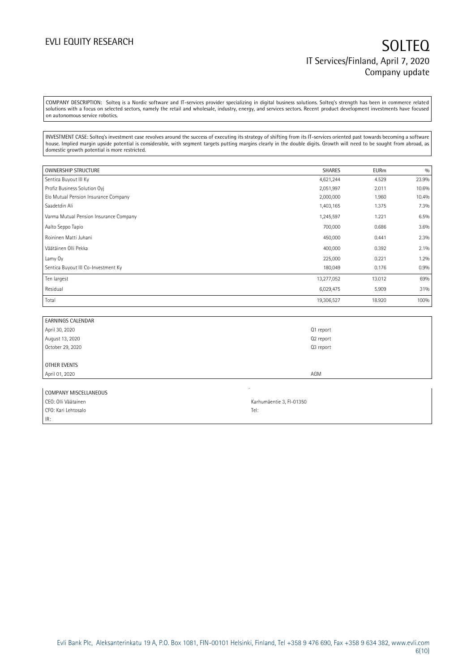COMPANY DESCRIPTION: Solteq is a Nordic software and IT-services provider specializing in digital business solutions. Solteq's strength has been in commerce related solutions with a focus on selected sectors, namely the retail and wholesale, industry, energy, and services sectors. Recent product development investments have focused on autonomous service robotics.

INVESTMENT CASE: Solteq's investment case revolves around the success of executing its strategy of shifting from its IT-services oriented past towards becoming a software house. Implied margin upside potential is considerable, with segment targets putting margins clearly in the double digits. Growth will need to be sought from abroad, as domestic growth potential is more restricted.

| <b>OWNERSHIP STRUCTURE</b>             | <b>SHARES</b> | <b>EURm</b> | 0/0   |
|----------------------------------------|---------------|-------------|-------|
| Sentica Buyout III Ky                  | 4,621,244     | 4.529       | 23.9% |
| Profiz Business Solution Ovi           | 2,051,997     | 2.011       | 10.6% |
| Elo Mutual Pension Insurance Company   | 2,000,000     | 1.960       | 10.4% |
| Saadetdin Ali                          | 1,403,165     | 1.375       | 7.3%  |
| Varma Mutual Pension Insurance Company | 1,245,597     | 1.221       | 6.5%  |
| Aalto Seppo Tapio                      | 700,000       | 0.686       | 3.6%  |
| Roininen Matti Juhani                  | 450,000       | 0.441       | 2.3%  |
| Väätäinen Olli Pekka                   | 400,000       | 0.392       | 2.1%  |
| Lamy Oy                                | 225,000       | 0.221       | 1.2%  |
| Sentica Buyout III Co-Investment Ky    | 180,049       | 0.176       | 0.9%  |
| Ten largest                            | 13,277,052    | 13.012      | 69%   |
| Residual                               | 6,029,475     | 5.909       | 31%   |
| Total                                  | 19,306,527    | 18.920      | 100%  |

| <b>EARNINGS CALENDAR</b> |           |
|--------------------------|-----------|
| April 30, 2020           | Q1 report |
| August 13, 2020          | Q2 report |
| October 29, 2020         | Q3 report |
|                          |           |
| OTHER EVENTS             |           |
| April 01, 2020           | AGM       |
|                          |           |

| COMPANY MISCELLANEOUS |                          |
|-----------------------|--------------------------|
| CEO: Olli Väätainen   | Karhumäentie 3, FI-01350 |
| CFO: Kari Lehtosalo   | Tel.                     |
| IR:                   |                          |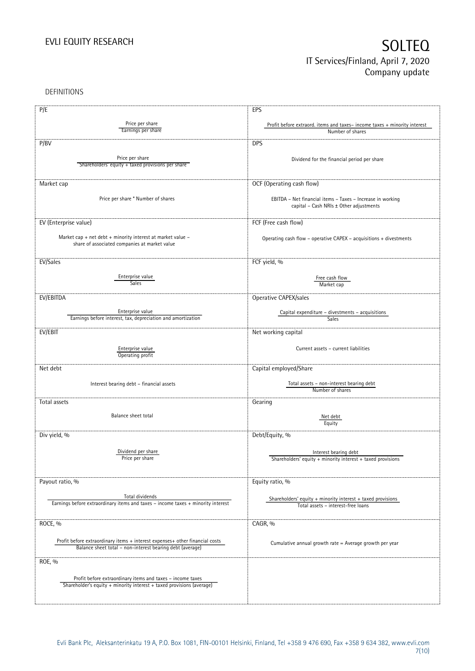DEFINITIONS

| P/E                                                                              | EPS                                                                                                   |
|----------------------------------------------------------------------------------|-------------------------------------------------------------------------------------------------------|
|                                                                                  |                                                                                                       |
| Price per share<br>Earnings per share                                            | Profit before extraord. items and taxes-income taxes + minority interest                              |
|                                                                                  | Number of shares                                                                                      |
| P/BV                                                                             | <b>DPS</b>                                                                                            |
|                                                                                  |                                                                                                       |
| Price per share                                                                  | Dividend for the financial period per share                                                           |
| Shareholders' equity + taxed provisions per share                                |                                                                                                       |
|                                                                                  |                                                                                                       |
| Market cap                                                                       | OCF (Operating cash flow)                                                                             |
|                                                                                  |                                                                                                       |
| Price per share * Number of shares                                               | EBITDA - Net financial items - Taxes - Increase in working                                            |
|                                                                                  | capital - Cash NRIs ± Other adjustments                                                               |
|                                                                                  |                                                                                                       |
| EV (Enterprise value)                                                            | FCF (Free cash flow)                                                                                  |
|                                                                                  |                                                                                                       |
| Market cap + net debt + minority interest at market value -                      | Operating cash flow - operative CAPEX - acquisitions + divestments                                    |
| share of associated companies at market value                                    |                                                                                                       |
|                                                                                  |                                                                                                       |
| EV/Sales                                                                         | FCF yield, %                                                                                          |
|                                                                                  |                                                                                                       |
| Enterprise value                                                                 | Free cash flow                                                                                        |
| Sales                                                                            | Market cap                                                                                            |
| EV/EBITDA                                                                        | Operative CAPEX/sales                                                                                 |
|                                                                                  |                                                                                                       |
| Enterprise value                                                                 | Capital expenditure - divestments - acquisitions                                                      |
| Earnings before interest, tax, depreciation and amortization                     | Sales                                                                                                 |
|                                                                                  |                                                                                                       |
| EV/EBIT                                                                          | Net working capital                                                                                   |
|                                                                                  |                                                                                                       |
| Enterprise value                                                                 | Current assets - current liabilities                                                                  |
| Operating profit                                                                 |                                                                                                       |
| Net debt                                                                         | Capital employed/Share                                                                                |
|                                                                                  |                                                                                                       |
| Interest bearing debt - financial assets                                         | Total assets - non-interest bearing debt                                                              |
|                                                                                  | Number of shares                                                                                      |
| Total assets                                                                     | Gearing                                                                                               |
|                                                                                  |                                                                                                       |
| Balance sheet total                                                              | Net debt                                                                                              |
|                                                                                  | Equity                                                                                                |
|                                                                                  |                                                                                                       |
| Div yield, %                                                                     | Debt/Equity, %                                                                                        |
|                                                                                  |                                                                                                       |
| Dividend per share<br>Price per share                                            | Interest bearing debt                                                                                 |
|                                                                                  | Shareholders' equity + minority interest + taxed provisions                                           |
|                                                                                  |                                                                                                       |
| Payout ratio, %                                                                  | Equity ratio, %                                                                                       |
|                                                                                  |                                                                                                       |
| Total dividends                                                                  |                                                                                                       |
| Earnings before extraordinary items and taxes - income taxes + minority interest | Shareholders' equity $+$ minority interest $+$ taxed provisions<br>Total assets - interest-free loans |
|                                                                                  |                                                                                                       |
| ROCE, %                                                                          | CAGR, %                                                                                               |
|                                                                                  |                                                                                                       |
|                                                                                  |                                                                                                       |
| Profit before extraordinary items + interest expenses+ other financial costs     | Cumulative annual growth rate = Average growth per year                                               |
| Balance sheet total - non-interest bearing debt (average)                        |                                                                                                       |
| ROE, %                                                                           |                                                                                                       |
|                                                                                  |                                                                                                       |
| Profit before extraordinary items and taxes - income taxes                       |                                                                                                       |
| Shareholder's equity + minority interest + taxed provisions (average)            |                                                                                                       |
|                                                                                  |                                                                                                       |
|                                                                                  |                                                                                                       |
|                                                                                  |                                                                                                       |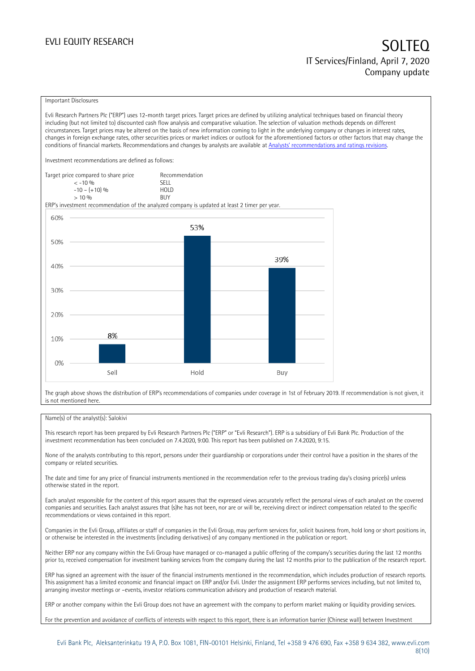### Important Disclosures

Evli Research Partners Plc ("ERP") uses 12-month target prices. Target prices are defined by utilizing analytical techniques based on financial theory including (but not limited to) discounted cash flow analysis and comparative valuation. The selection of valuation methods depends on different circumstances. Target prices may be altered on the basis of new information coming to light in the underlying company or changes in interest rates, changes in foreign exchange rates, other securities prices or market indices or outlook for the aforementioned factors or other factors that may change the conditions of financial markets. Recommendations and changes by analysts are available at [Analysts' recommendations and ratings revisions](https://research.evli.com/JasperAllModels.action?authParam=key;461&authParam=x;G3rNagWrtf7K&authType=3).

Investment recommendations are defined as follows:

| Target price compared to share price | Recommendation                |
|--------------------------------------|-------------------------------|
| $<-10.06$                            | <b>SFII</b>                   |
| $-10 - (+10)$ %                      | H <sub>O</sub> I <sub>D</sub> |
| $> 10\%$                             | <b>BUY</b>                    |

ERP's investment recommendation of the analyzed company is updated at least 2 timer per year.



The graph above shows the distribution of ERP's recommendations of companies under coverage in 1st of February 2019. If recommendation is not given, it is not mentioned here.

### Name(s) of the analyst(s): Salokivi

This research report has been prepared by Evli Research Partners Plc ("ERP" or "Evli Research"). ERP is a subsidiary of Evli Bank Plc. Production of the investment recommendation has been concluded on 7.4.2020, 9:00. This report has been published on 7.4.2020, 9:15.

None of the analysts contributing to this report, persons under their guardianship or corporations under their control have a position in the shares of the company or related securities.

The date and time for any price of financial instruments mentioned in the recommendation refer to the previous trading day's closing price(s) unless otherwise stated in the report.

Each analyst responsible for the content of this report assures that the expressed views accurately reflect the personal views of each analyst on the covered companies and securities. Each analyst assures that (s)he has not been, nor are or will be, receiving direct or indirect compensation related to the specific recommendations or views contained in this report.

Companies in the Evli Group, affiliates or staff of companies in the Evli Group, may perform services for, solicit business from, hold long or short positions in, or otherwise be interested in the investments (including derivatives) of any company mentioned in the publication or report.

Neither ERP nor any company within the Evli Group have managed or co-managed a public offering of the company's securities during the last 12 months prior to, received compensation for investment banking services from the company during the last 12 months prior to the publication of the research report.

ERP has signed an agreement with the issuer of the financial instruments mentioned in the recommendation, which includes production of research reports. This assignment has a limited economic and financial impact on ERP and/or Evli. Under the assignment ERP performs services including, but not limited to, arranging investor meetings or –events, investor relations communication advisory and production of research material.

ERP or another company within the Evli Group does not have an agreement with the company to perform market making or liquidity providing services.

For the prevention and avoidance of conflicts of interests with respect to this report, there is an information barrier (Chinese wall) between Investment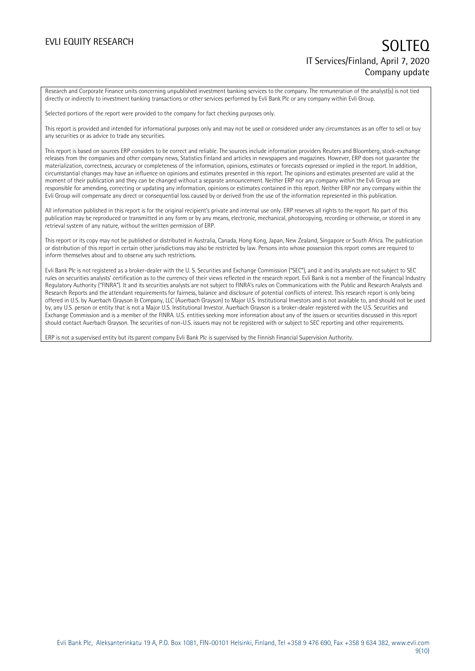Research and Corporate Finance units concerning unpublished investment banking services to the company. The remuneration of the analyst(s) is not tied directly or indirectly to investment banking transactions or other services performed by Evli Bank Plc or any company within Evli Group.

Selected portions of the report were provided to the company for fact checking purposes only.

This report is provided and intended for informational purposes only and may not be used or considered under any circumstances as an offer to sell or buy any securities or as advice to trade any securities.

This report is based on sources ERP considers to be correct and reliable. The sources include information providers Reuters and Bloomberg, stock-exchange releases from the companies and other company news, Statistics Finland and articles in newspapers and magazines. However, ERP does not guarantee the materialization, correctness, accuracy or completeness of the information, opinions, estimates or forecasts expressed or implied in the report. In addition, circumstantial changes may have an influence on opinions and estimates presented in this report. The opinions and estimates presented are valid at the moment of their publication and they can be changed without a separate announcement. Neither ERP nor any company within the Evli Group are responsible for amending, correcting or updating any information, opinions or estimates contained in this report. Neither ERP nor any company within the Evli Group will compensate any direct or consequential loss caused by or derived from the use of the information represented in this publication.

All information published in this report is for the original recipient's private and internal use only. ERP reserves all rights to the report. No part of this publication may be reproduced or transmitted in any form or by any means, electronic, mechanical, photocopying, recording or otherwise, or stored in any retrieval system of any nature, without the written permission of ERP.

This report or its copy may not be published or distributed in Australia, Canada, Hong Kong, Japan, New Zealand, Singapore or South Africa. The publication or distribution of this report in certain other jurisdictions may also be restricted by law. Persons into whose possession this report comes are required to inform themselves about and to observe any such restrictions.

Evli Bank Plc is not registered as a broker-dealer with the U. S. Securities and Exchange Commission ("SEC"), and it and its analysts are not subject to SEC rules on securities analysts' certification as to the currency of their views reflected in the research report. Evli Bank is not a member of the Financial Industry Regulatory Authority ("FINRA"). It and its securities analysts are not subject to FINRA's rules on Communications with the Public and Research Analysts and Research Reports and the attendant requirements for fairness, balance and disclosure of potential conflicts of interest. This research report is only being offered in U.S. by Auerbach Grayson & Company, LLC (Auerbach Grayson) to Major U.S. Institutional Investors and is not available to, and should not be used by, any U.S. person or entity that is not a Major U.S. Institutional Investor. Auerbach Grayson is a broker-dealer registered with the U.S. Securities and Exchange Commission and is a member of the FINRA. U.S. entities seeking more information about any of the issuers or securities discussed in this report should contact Auerbach Grayson. The securities of non-U.S. issuers may not be registered with or subject to SEC reporting and other requirements.

ERP is not a supervised entity but its parent company Evli Bank Plc is supervised by the Finnish Financial Supervision Authority.